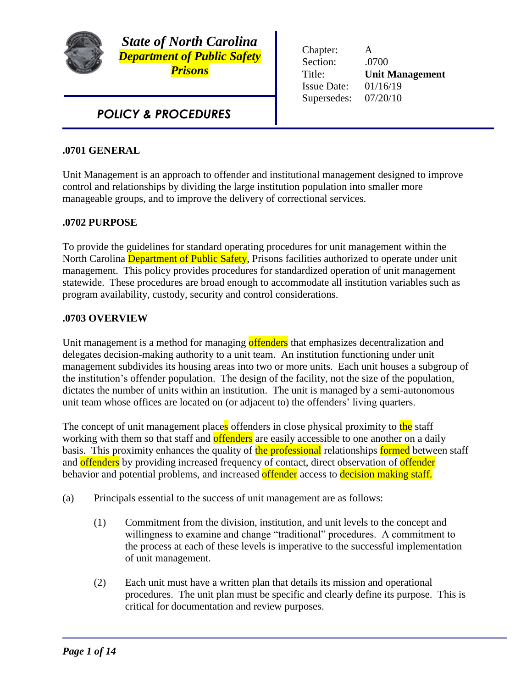

*State of North Carolina Department of Public Safety Prisons*

*POLICY & PROCEDURES*

Chapter: A Section: .0700 Title: **Unit Management** Issue Date: 01/16/19 Supersedes: 07/20/10

### **.0701 GENERAL**

Unit Management is an approach to offender and institutional management designed to improve control and relationships by dividing the large institution population into smaller more manageable groups, and to improve the delivery of correctional services.

#### **.0702 PURPOSE**

To provide the guidelines for standard operating procedures for unit management within the North Carolina Department of Public Safety, Prisons facilities authorized to operate under unit management. This policy provides procedures for standardized operation of unit management statewide. These procedures are broad enough to accommodate all institution variables such as program availability, custody, security and control considerations.

#### **.0703 OVERVIEW**

Unit management is a method for managing offenders that emphasizes decentralization and delegates decision-making authority to a unit team. An institution functioning under unit management subdivides its housing areas into two or more units. Each unit houses a subgroup of the institution's offender population. The design of the facility, not the size of the population, dictates the number of units within an institution. The unit is managed by a semi-autonomous unit team whose offices are located on (or adjacent to) the offenders' living quarters.

The concept of unit management places offenders in close physical proximity to the staff working with them so that staff and **offenders** are easily accessible to one another on a daily basis. This proximity enhances the quality of the professional relationships formed between staff and offenders by providing increased frequency of contact, direct observation of offender behavior and potential problems, and increased offender access to decision making staff.

- (a) Principals essential to the success of unit management are as follows:
	- (1) Commitment from the division, institution, and unit levels to the concept and willingness to examine and change "traditional" procedures. A commitment to the process at each of these levels is imperative to the successful implementation of unit management.
	- (2) Each unit must have a written plan that details its mission and operational procedures. The unit plan must be specific and clearly define its purpose. This is critical for documentation and review purposes.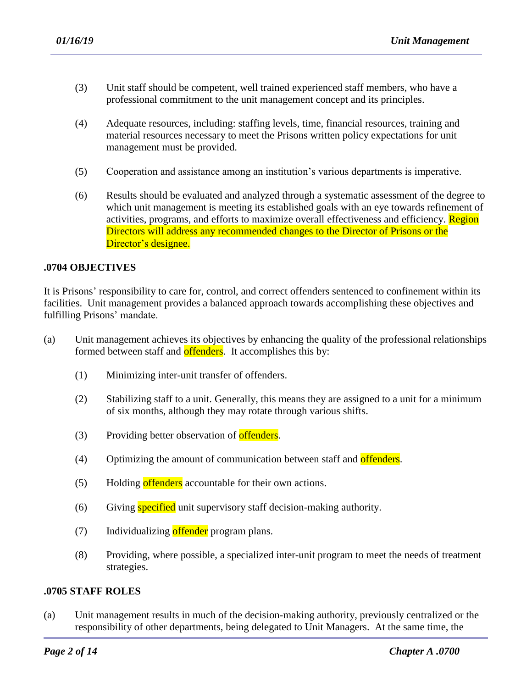- (3) Unit staff should be competent, well trained experienced staff members, who have a professional commitment to the unit management concept and its principles.
- (4) Adequate resources, including: staffing levels, time, financial resources, training and material resources necessary to meet the Prisons written policy expectations for unit management must be provided.
- (5) Cooperation and assistance among an institution's various departments is imperative.
- (6) Results should be evaluated and analyzed through a systematic assessment of the degree to which unit management is meeting its established goals with an eye towards refinement of activities, programs, and efforts to maximize overall effectiveness and efficiency. Region Directors will address any recommended changes to the Director of Prisons or the Director's designee.

#### **.0704 OBJECTIVES**

It is Prisons' responsibility to care for, control, and correct offenders sentenced to confinement within its facilities. Unit management provides a balanced approach towards accomplishing these objectives and fulfilling Prisons' mandate.

- (a) Unit management achieves its objectives by enhancing the quality of the professional relationships formed between staff and offenders. It accomplishes this by:
	- (1) Minimizing inter-unit transfer of offenders.
	- (2) Stabilizing staff to a unit. Generally, this means they are assigned to a unit for a minimum of six months, although they may rotate through various shifts.
	- (3) Providing better observation of **offenders**.
	- (4) Optimizing the amount of communication between staff and offenders.
	- (5) Holding offenders accountable for their own actions.
	- (6) Giving **specified** unit supervisory staff decision-making authority.

- (7) Individualizing offender program plans.
- (8) Providing, where possible, a specialized inter-unit program to meet the needs of treatment strategies.

#### **.0705 STAFF ROLES**

(a) Unit management results in much of the decision-making authority, previously centralized or the responsibility of other departments, being delegated to Unit Managers. At the same time, the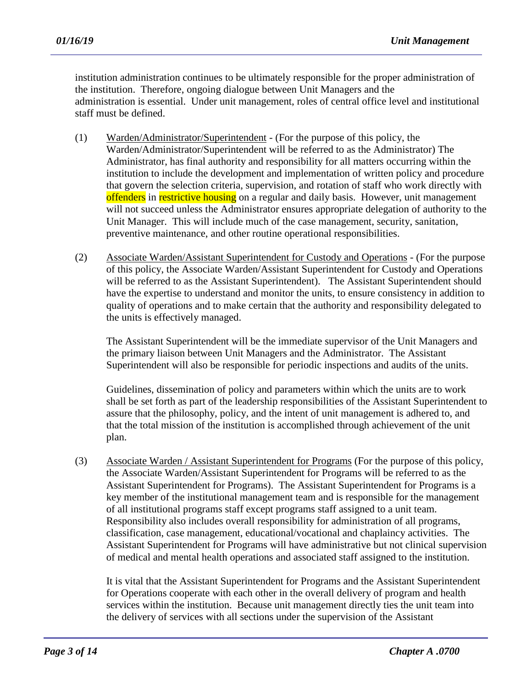institution administration continues to be ultimately responsible for the proper administration of the institution. Therefore, ongoing dialogue between Unit Managers and the administration is essential. Under unit management, roles of central office level and institutional staff must be defined.

- (1) Warden/Administrator/Superintendent (For the purpose of this policy, the Warden/Administrator/Superintendent will be referred to as the Administrator) The Administrator, has final authority and responsibility for all matters occurring within the institution to include the development and implementation of written policy and procedure that govern the selection criteria, supervision, and rotation of staff who work directly with offenders in restrictive housing on a regular and daily basis. However, unit management will not succeed unless the Administrator ensures appropriate delegation of authority to the Unit Manager. This will include much of the case management, security, sanitation, preventive maintenance, and other routine operational responsibilities.
- (2) Associate Warden/Assistant Superintendent for Custody and Operations (For the purpose of this policy, the Associate Warden/Assistant Superintendent for Custody and Operations will be referred to as the Assistant Superintendent). The Assistant Superintendent should have the expertise to understand and monitor the units, to ensure consistency in addition to quality of operations and to make certain that the authority and responsibility delegated to the units is effectively managed.

The Assistant Superintendent will be the immediate supervisor of the Unit Managers and the primary liaison between Unit Managers and the Administrator. The Assistant Superintendent will also be responsible for periodic inspections and audits of the units.

Guidelines, dissemination of policy and parameters within which the units are to work shall be set forth as part of the leadership responsibilities of the Assistant Superintendent to assure that the philosophy, policy, and the intent of unit management is adhered to, and that the total mission of the institution is accomplished through achievement of the unit plan.

(3) Associate Warden / Assistant Superintendent for Programs (For the purpose of this policy, the Associate Warden/Assistant Superintendent for Programs will be referred to as the Assistant Superintendent for Programs). The Assistant Superintendent for Programs is a key member of the institutional management team and is responsible for the management of all institutional programs staff except programs staff assigned to a unit team. Responsibility also includes overall responsibility for administration of all programs, classification, case management, educational/vocational and chaplaincy activities. The Assistant Superintendent for Programs will have administrative but not clinical supervision of medical and mental health operations and associated staff assigned to the institution.

It is vital that the Assistant Superintendent for Programs and the Assistant Superintendent for Operations cooperate with each other in the overall delivery of program and health services within the institution. Because unit management directly ties the unit team into the delivery of services with all sections under the supervision of the Assistant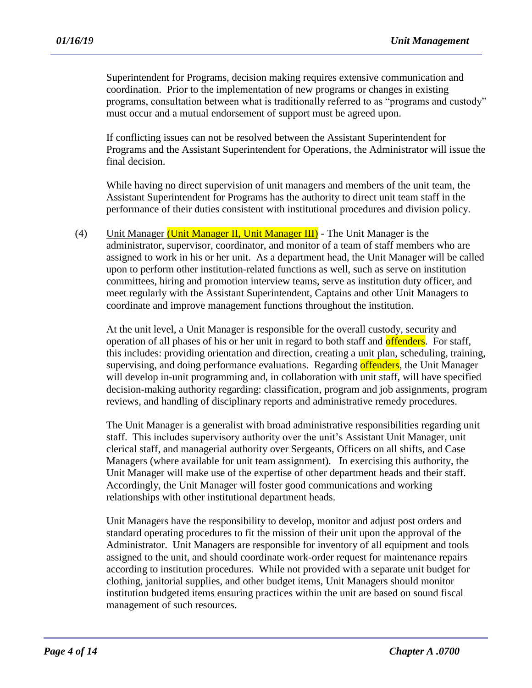Superintendent for Programs, decision making requires extensive communication and coordination. Prior to the implementation of new programs or changes in existing programs, consultation between what is traditionally referred to as "programs and custody" must occur and a mutual endorsement of support must be agreed upon.

If conflicting issues can not be resolved between the Assistant Superintendent for Programs and the Assistant Superintendent for Operations, the Administrator will issue the final decision.

While having no direct supervision of unit managers and members of the unit team, the Assistant Superintendent for Programs has the authority to direct unit team staff in the performance of their duties consistent with institutional procedures and division policy.

(4) Unit Manager (Unit Manager II, Unit Manager III) - The Unit Manager is the administrator, supervisor, coordinator, and monitor of a team of staff members who are assigned to work in his or her unit. As a department head, the Unit Manager will be called upon to perform other institution-related functions as well, such as serve on institution committees, hiring and promotion interview teams, serve as institution duty officer, and meet regularly with the Assistant Superintendent, Captains and other Unit Managers to coordinate and improve management functions throughout the institution.

At the unit level, a Unit Manager is responsible for the overall custody, security and operation of all phases of his or her unit in regard to both staff and **offenders**. For staff, this includes: providing orientation and direction, creating a unit plan, scheduling, training, supervising, and doing performance evaluations. Regarding offenders, the Unit Manager will develop in-unit programming and, in collaboration with unit staff, will have specified decision-making authority regarding: classification, program and job assignments, program reviews, and handling of disciplinary reports and administrative remedy procedures.

The Unit Manager is a generalist with broad administrative responsibilities regarding unit staff. This includes supervisory authority over the unit's Assistant Unit Manager, unit clerical staff, and managerial authority over Sergeants, Officers on all shifts, and Case Managers (where available for unit team assignment). In exercising this authority, the Unit Manager will make use of the expertise of other department heads and their staff. Accordingly, the Unit Manager will foster good communications and working relationships with other institutional department heads.

Unit Managers have the responsibility to develop, monitor and adjust post orders and standard operating procedures to fit the mission of their unit upon the approval of the Administrator. Unit Managers are responsible for inventory of all equipment and tools assigned to the unit, and should coordinate work-order request for maintenance repairs according to institution procedures. While not provided with a separate unit budget for clothing, janitorial supplies, and other budget items, Unit Managers should monitor institution budgeted items ensuring practices within the unit are based on sound fiscal management of such resources.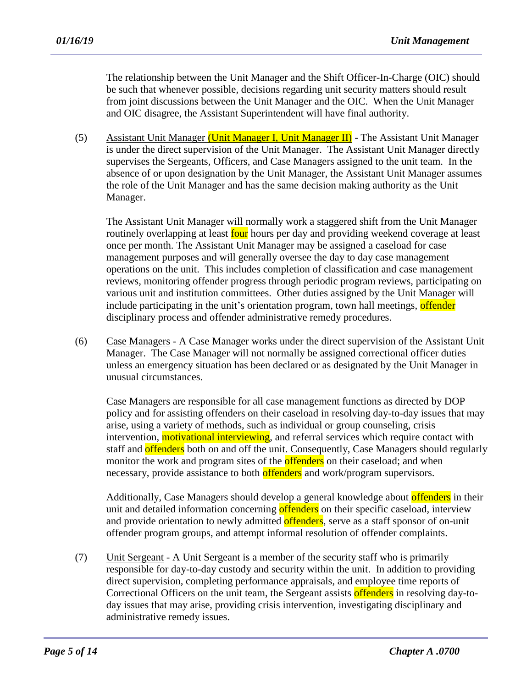The relationship between the Unit Manager and the Shift Officer-In-Charge (OIC) should be such that whenever possible, decisions regarding unit security matters should result from joint discussions between the Unit Manager and the OIC. When the Unit Manager and OIC disagree, the Assistant Superintendent will have final authority.

(5) Assistant Unit Manager (Unit Manager I, Unit Manager II) - The Assistant Unit Manager is under the direct supervision of the Unit Manager. The Assistant Unit Manager directly supervises the Sergeants, Officers, and Case Managers assigned to the unit team. In the absence of or upon designation by the Unit Manager, the Assistant Unit Manager assumes the role of the Unit Manager and has the same decision making authority as the Unit Manager.

The Assistant Unit Manager will normally work a staggered shift from the Unit Manager routinely overlapping at least four hours per day and providing weekend coverage at least once per month. The Assistant Unit Manager may be assigned a caseload for case management purposes and will generally oversee the day to day case management operations on the unit. This includes completion of classification and case management reviews, monitoring offender progress through periodic program reviews, participating on various unit and institution committees. Other duties assigned by the Unit Manager will include participating in the unit's orientation program, town hall meetings, offender disciplinary process and offender administrative remedy procedures.

(6) Case Managers - A Case Manager works under the direct supervision of the Assistant Unit Manager. The Case Manager will not normally be assigned correctional officer duties unless an emergency situation has been declared or as designated by the Unit Manager in unusual circumstances.

Case Managers are responsible for all case management functions as directed by DOP policy and for assisting offenders on their caseload in resolving day-to-day issues that may arise, using a variety of methods, such as individual or group counseling, crisis intervention, **motivational interviewing**, and referral services which require contact with staff and **offenders** both on and off the unit. Consequently, Case Managers should regularly monitor the work and program sites of the **offenders** on their caseload; and when necessary, provide assistance to both offenders and work/program supervisors.

Additionally, Case Managers should develop a general knowledge about offenders in their unit and detailed information concerning offenders on their specific caseload, interview and provide orientation to newly admitted offenders, serve as a staff sponsor of on-unit offender program groups, and attempt informal resolution of offender complaints.

(7) Unit Sergeant - A Unit Sergeant is a member of the security staff who is primarily responsible for day-to-day custody and security within the unit. In addition to providing direct supervision, completing performance appraisals, and employee time reports of Correctional Officers on the unit team, the Sergeant assists offenders in resolving day-today issues that may arise, providing crisis intervention, investigating disciplinary and administrative remedy issues.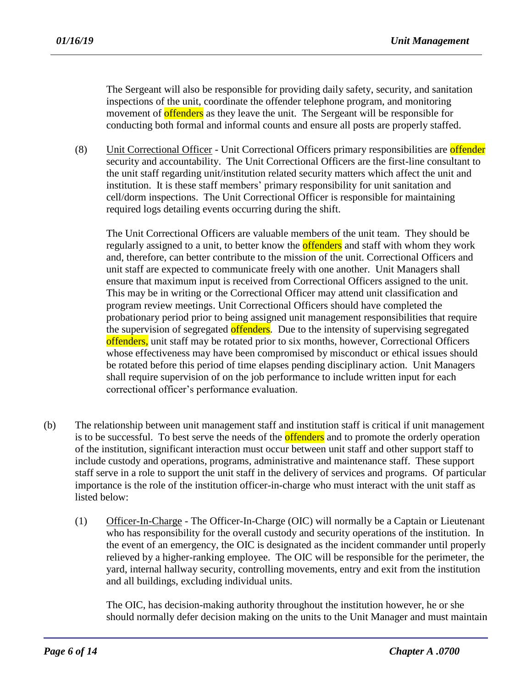The Sergeant will also be responsible for providing daily safety, security, and sanitation inspections of the unit, coordinate the offender telephone program, and monitoring movement of **offenders** as they leave the unit. The Sergeant will be responsible for conducting both formal and informal counts and ensure all posts are properly staffed.

(8) Unit Correctional Officer - Unit Correctional Officers primary responsibilities are **offender** security and accountability. The Unit Correctional Officers are the first-line consultant to the unit staff regarding unit/institution related security matters which affect the unit and institution. It is these staff members' primary responsibility for unit sanitation and cell/dorm inspections. The Unit Correctional Officer is responsible for maintaining required logs detailing events occurring during the shift.

The Unit Correctional Officers are valuable members of the unit team. They should be regularly assigned to a unit, to better know the **offenders** and staff with whom they work and, therefore, can better contribute to the mission of the unit. Correctional Officers and unit staff are expected to communicate freely with one another. Unit Managers shall ensure that maximum input is received from Correctional Officers assigned to the unit. This may be in writing or the Correctional Officer may attend unit classification and program review meetings. Unit Correctional Officers should have completed the probationary period prior to being assigned unit management responsibilities that require the supervision of segregated offenders. Due to the intensity of supervising segregated offenders, unit staff may be rotated prior to six months, however, Correctional Officers whose effectiveness may have been compromised by misconduct or ethical issues should be rotated before this period of time elapses pending disciplinary action. Unit Managers shall require supervision of on the job performance to include written input for each correctional officer's performance evaluation.

- (b) The relationship between unit management staff and institution staff is critical if unit management is to be successful. To best serve the needs of the **offenders** and to promote the orderly operation of the institution, significant interaction must occur between unit staff and other support staff to include custody and operations, programs, administrative and maintenance staff. These support staff serve in a role to support the unit staff in the delivery of services and programs. Of particular importance is the role of the institution officer-in-charge who must interact with the unit staff as listed below:
	- (1) Officer-In-Charge The Officer-In-Charge (OIC) will normally be a Captain or Lieutenant who has responsibility for the overall custody and security operations of the institution. In the event of an emergency, the OIC is designated as the incident commander until properly relieved by a higher-ranking employee. The OIC will be responsible for the perimeter, the yard, internal hallway security, controlling movements, entry and exit from the institution and all buildings, excluding individual units.

The OIC, has decision-making authority throughout the institution however, he or she should normally defer decision making on the units to the Unit Manager and must maintain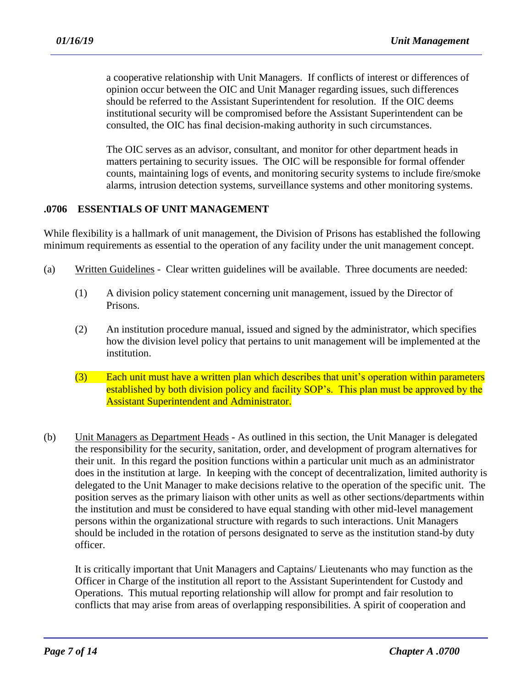a cooperative relationship with Unit Managers. If conflicts of interest or differences of opinion occur between the OIC and Unit Manager regarding issues, such differences should be referred to the Assistant Superintendent for resolution. If the OIC deems institutional security will be compromised before the Assistant Superintendent can be consulted, the OIC has final decision-making authority in such circumstances.

The OIC serves as an advisor, consultant, and monitor for other department heads in matters pertaining to security issues. The OIC will be responsible for formal offender counts, maintaining logs of events, and monitoring security systems to include fire/smoke alarms, intrusion detection systems, surveillance systems and other monitoring systems.

### **.0706 ESSENTIALS OF UNIT MANAGEMENT**

While flexibility is a hallmark of unit management, the Division of Prisons has established the following minimum requirements as essential to the operation of any facility under the unit management concept.

- (a) Written Guidelines Clear written guidelines will be available. Three documents are needed:
	- (1) A division policy statement concerning unit management, issued by the Director of Prisons.
	- (2) An institution procedure manual, issued and signed by the administrator, which specifies how the division level policy that pertains to unit management will be implemented at the institution.
	- $(3)$  Each unit must have a written plan which describes that unit's operation within parameters established by both division policy and facility SOP's. This plan must be approved by the **Assistant Superintendent and Administrator.**
- (b) Unit Managers as Department Heads As outlined in this section, the Unit Manager is delegated the responsibility for the security, sanitation, order, and development of program alternatives for their unit. In this regard the position functions within a particular unit much as an administrator does in the institution at large. In keeping with the concept of decentralization, limited authority is delegated to the Unit Manager to make decisions relative to the operation of the specific unit. The position serves as the primary liaison with other units as well as other sections/departments within the institution and must be considered to have equal standing with other mid-level management persons within the organizational structure with regards to such interactions. Unit Managers should be included in the rotation of persons designated to serve as the institution stand-by duty officer.

It is critically important that Unit Managers and Captains/ Lieutenants who may function as the Officer in Charge of the institution all report to the Assistant Superintendent for Custody and Operations. This mutual reporting relationship will allow for prompt and fair resolution to conflicts that may arise from areas of overlapping responsibilities. A spirit of cooperation and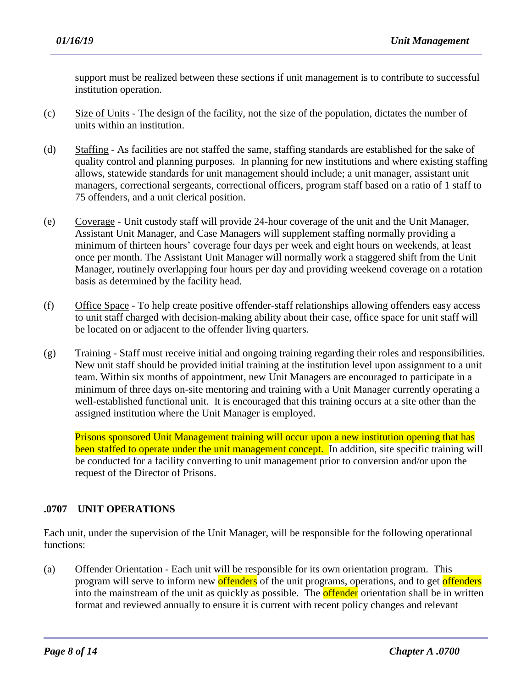support must be realized between these sections if unit management is to contribute to successful institution operation.

- (c) Size of Units The design of the facility, not the size of the population, dictates the number of units within an institution.
- (d) Staffing As facilities are not staffed the same, staffing standards are established for the sake of quality control and planning purposes. In planning for new institutions and where existing staffing allows, statewide standards for unit management should include; a unit manager, assistant unit managers, correctional sergeants, correctional officers, program staff based on a ratio of 1 staff to 75 offenders, and a unit clerical position.
- (e) Coverage Unit custody staff will provide 24-hour coverage of the unit and the Unit Manager, Assistant Unit Manager, and Case Managers will supplement staffing normally providing a minimum of thirteen hours' coverage four days per week and eight hours on weekends, at least once per month. The Assistant Unit Manager will normally work a staggered shift from the Unit Manager, routinely overlapping four hours per day and providing weekend coverage on a rotation basis as determined by the facility head.
- (f) Office Space To help create positive offender-staff relationships allowing offenders easy access to unit staff charged with decision-making ability about their case, office space for unit staff will be located on or adjacent to the offender living quarters.
- (g) Training Staff must receive initial and ongoing training regarding their roles and responsibilities. New unit staff should be provided initial training at the institution level upon assignment to a unit team. Within six months of appointment, new Unit Managers are encouraged to participate in a minimum of three days on-site mentoring and training with a Unit Manager currently operating a well-established functional unit. It is encouraged that this training occurs at a site other than the assigned institution where the Unit Manager is employed.

Prisons sponsored Unit Management training will occur upon a new institution opening that has been staffed to operate under the unit management concept. In addition, site specific training will be conducted for a facility converting to unit management prior to conversion and/or upon the request of the Director of Prisons.

# **.0707 UNIT OPERATIONS**

Each unit, under the supervision of the Unit Manager, will be responsible for the following operational functions:

(a) Offender Orientation - Each unit will be responsible for its own orientation program. This program will serve to inform new offenders of the unit programs, operations, and to get offenders into the mainstream of the unit as quickly as possible. The **offender** orientation shall be in written format and reviewed annually to ensure it is current with recent policy changes and relevant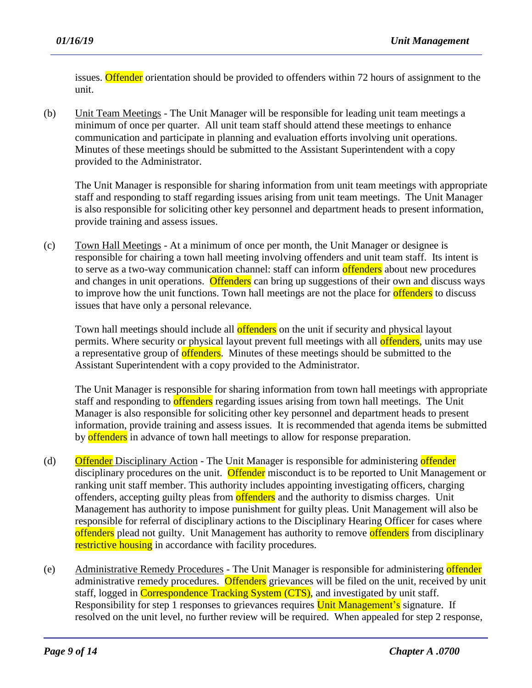issues. Offender orientation should be provided to offenders within 72 hours of assignment to the unit.

(b) Unit Team Meetings - The Unit Manager will be responsible for leading unit team meetings a minimum of once per quarter. All unit team staff should attend these meetings to enhance communication and participate in planning and evaluation efforts involving unit operations. Minutes of these meetings should be submitted to the Assistant Superintendent with a copy provided to the Administrator.

The Unit Manager is responsible for sharing information from unit team meetings with appropriate staff and responding to staff regarding issues arising from unit team meetings. The Unit Manager is also responsible for soliciting other key personnel and department heads to present information, provide training and assess issues.

(c) Town Hall Meetings - At a minimum of once per month, the Unit Manager or designee is responsible for chairing a town hall meeting involving offenders and unit team staff. Its intent is to serve as a two-way communication channel: staff can inform offenders about new procedures and changes in unit operations. Offenders can bring up suggestions of their own and discuss ways to improve how the unit functions. Town hall meetings are not the place for **offenders** to discuss issues that have only a personal relevance.

Town hall meetings should include all **offenders** on the unit if security and physical layout permits. Where security or physical layout prevent full meetings with all **offenders**, units may use a representative group of offenders. Minutes of these meetings should be submitted to the Assistant Superintendent with a copy provided to the Administrator.

The Unit Manager is responsible for sharing information from town hall meetings with appropriate staff and responding to **offenders** regarding issues arising from town hall meetings. The Unit Manager is also responsible for soliciting other key personnel and department heads to present information, provide training and assess issues. It is recommended that agenda items be submitted by offenders in advance of town hall meetings to allow for response preparation.

- (d) **Offender** Disciplinary Action The Unit Manager is responsible for administering **offender** disciplinary procedures on the unit. Offender misconduct is to be reported to Unit Management or ranking unit staff member. This authority includes appointing investigating officers, charging offenders, accepting guilty pleas from **offenders** and the authority to dismiss charges. Unit Management has authority to impose punishment for guilty pleas. Unit Management will also be responsible for referral of disciplinary actions to the Disciplinary Hearing Officer for cases where offenders plead not guilty. Unit Management has authority to remove offenders from disciplinary restrictive housing in accordance with facility procedures.
- (e) Administrative Remedy Procedures The Unit Manager is responsible for administering offender administrative remedy procedures. Offenders grievances will be filed on the unit, received by unit staff, logged in Correspondence Tracking System (CTS), and investigated by unit staff. Responsibility for step 1 responses to grievances requires Unit Management's signature. If resolved on the unit level, no further review will be required. When appealed for step 2 response,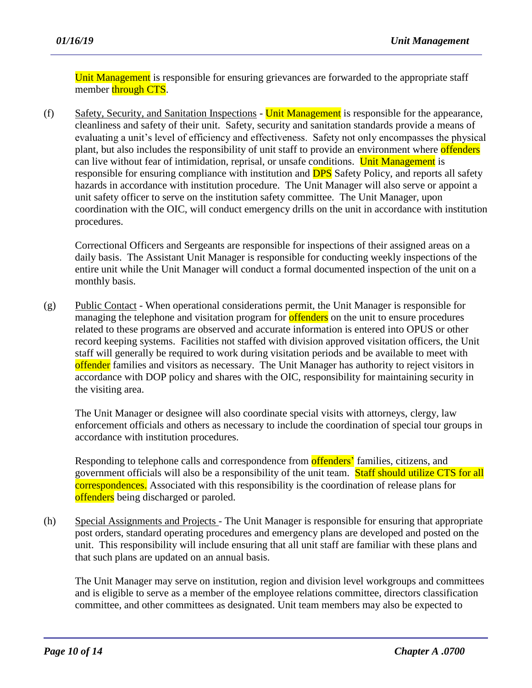Unit Management is responsible for ensuring grievances are forwarded to the appropriate staff member through CTS.

(f) Safety, Security, and Sanitation Inspections - Unit Management is responsible for the appearance, cleanliness and safety of their unit. Safety, security and sanitation standards provide a means of evaluating a unit's level of efficiency and effectiveness. Safety not only encompasses the physical plant, but also includes the responsibility of unit staff to provide an environment where offenders can live without fear of intimidation, reprisal, or unsafe conditions. Unit Management is responsible for ensuring compliance with institution and **DPS** Safety Policy, and reports all safety hazards in accordance with institution procedure. The Unit Manager will also serve or appoint a unit safety officer to serve on the institution safety committee. The Unit Manager, upon coordination with the OIC, will conduct emergency drills on the unit in accordance with institution procedures.

Correctional Officers and Sergeants are responsible for inspections of their assigned areas on a daily basis. The Assistant Unit Manager is responsible for conducting weekly inspections of the entire unit while the Unit Manager will conduct a formal documented inspection of the unit on a monthly basis.

(g) Public Contact - When operational considerations permit, the Unit Manager is responsible for managing the telephone and visitation program for **offenders** on the unit to ensure procedures related to these programs are observed and accurate information is entered into OPUS or other record keeping systems. Facilities not staffed with division approved visitation officers, the Unit staff will generally be required to work during visitation periods and be available to meet with offender families and visitors as necessary. The Unit Manager has authority to reject visitors in accordance with DOP policy and shares with the OIC, responsibility for maintaining security in the visiting area.

The Unit Manager or designee will also coordinate special visits with attorneys, clergy, law enforcement officials and others as necessary to include the coordination of special tour groups in accordance with institution procedures.

Responding to telephone calls and correspondence from **offenders'** families, citizens, and government officials will also be a responsibility of the unit team. Staff should utilize CTS for all correspondences. Associated with this responsibility is the coordination of release plans for offenders being discharged or paroled.

(h) Special Assignments and Projects - The Unit Manager is responsible for ensuring that appropriate post orders, standard operating procedures and emergency plans are developed and posted on the unit. This responsibility will include ensuring that all unit staff are familiar with these plans and that such plans are updated on an annual basis.

The Unit Manager may serve on institution, region and division level workgroups and committees and is eligible to serve as a member of the employee relations committee, directors classification committee, and other committees as designated. Unit team members may also be expected to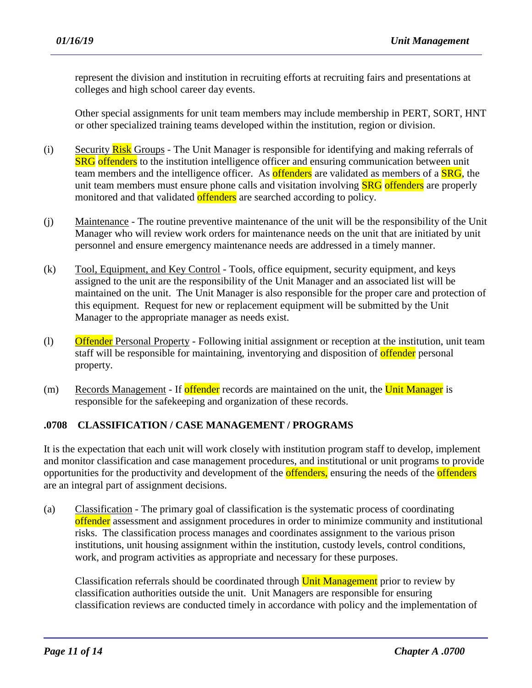represent the division and institution in recruiting efforts at recruiting fairs and presentations at colleges and high school career day events.

Other special assignments for unit team members may include membership in PERT, SORT, HNT or other specialized training teams developed within the institution, region or division.

- (i) Security Risk Groups The Unit Manager is responsible for identifying and making referrals of **SRG** offenders to the institution intelligence officer and ensuring communication between unit team members and the intelligence officer. As **offenders** are validated as members of a **SRG**, the unit team members must ensure phone calls and visitation involving **SRG** offenders are properly monitored and that validated **offenders** are searched according to policy.
- (j) Maintenance The routine preventive maintenance of the unit will be the responsibility of the Unit Manager who will review work orders for maintenance needs on the unit that are initiated by unit personnel and ensure emergency maintenance needs are addressed in a timely manner.
- (k) Tool, Equipment, and Key Control Tools, office equipment, security equipment, and keys assigned to the unit are the responsibility of the Unit Manager and an associated list will be maintained on the unit. The Unit Manager is also responsible for the proper care and protection of this equipment. Request for new or replacement equipment will be submitted by the Unit Manager to the appropriate manager as needs exist.
- (l) Offender Personal Property Following initial assignment or reception at the institution, unit team staff will be responsible for maintaining, inventorying and disposition of **offender** personal property.
- (m) Records Management If offender records are maintained on the unit, the Unit Manager is responsible for the safekeeping and organization of these records.

## **.0708 CLASSIFICATION / CASE MANAGEMENT / PROGRAMS**

It is the expectation that each unit will work closely with institution program staff to develop, implement and monitor classification and case management procedures, and institutional or unit programs to provide opportunities for the productivity and development of the **offenders**, ensuring the needs of the **offenders** are an integral part of assignment decisions.

(a) Classification - The primary goal of classification is the systematic process of coordinating offender assessment and assignment procedures in order to minimize community and institutional risks. The classification process manages and coordinates assignment to the various prison institutions, unit housing assignment within the institution, custody levels, control conditions, work, and program activities as appropriate and necessary for these purposes.

Classification referrals should be coordinated through Unit Management prior to review by classification authorities outside the unit. Unit Managers are responsible for ensuring classification reviews are conducted timely in accordance with policy and the implementation of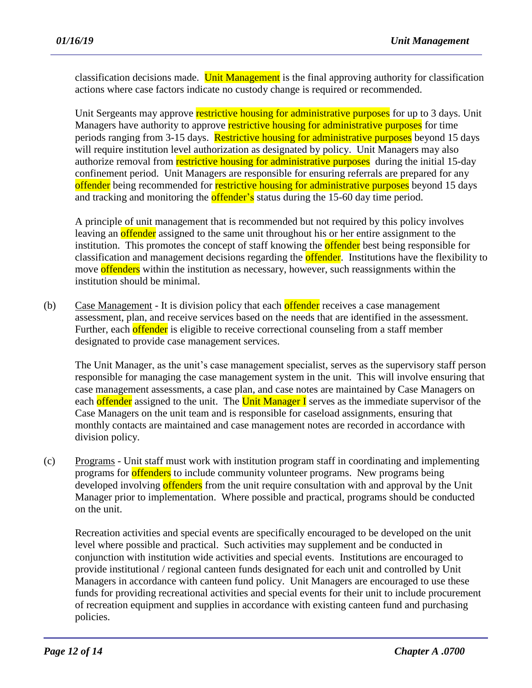classification decisions made. Unit Management is the final approving authority for classification actions where case factors indicate no custody change is required or recommended.

Unit Sergeants may approve restrictive housing for administrative purposes for up to 3 days. Unit Managers have authority to approve restrictive housing for administrative purposes for time periods ranging from 3-15 days. Restrictive housing for administrative purposes beyond 15 days will require institution level authorization as designated by policy. Unit Managers may also authorize removal from **restrictive housing for administrative purposes** during the initial 15-day confinement period. Unit Managers are responsible for ensuring referrals are prepared for any offender being recommended for restrictive housing for administrative purposes beyond 15 days and tracking and monitoring the **offender's** status during the 15-60 day time period.

A principle of unit management that is recommended but not required by this policy involves leaving an offender assigned to the same unit throughout his or her entire assignment to the institution. This promotes the concept of staff knowing the **offender** best being responsible for classification and management decisions regarding the **offender**. Institutions have the flexibility to move offenders within the institution as necessary, however, such reassignments within the institution should be minimal.

(b) Case Management - It is division policy that each offender receives a case management assessment, plan, and receive services based on the needs that are identified in the assessment. Further, each offender is eligible to receive correctional counseling from a staff member designated to provide case management services.

The Unit Manager, as the unit's case management specialist, serves as the supervisory staff person responsible for managing the case management system in the unit. This will involve ensuring that case management assessments, a case plan, and case notes are maintained by Case Managers on each offender assigned to the unit. The Unit Manager I serves as the immediate supervisor of the Case Managers on the unit team and is responsible for caseload assignments, ensuring that monthly contacts are maintained and case management notes are recorded in accordance with division policy.

(c) Programs - Unit staff must work with institution program staff in coordinating and implementing programs for **offenders** to include community volunteer programs. New programs being developed involving offenders from the unit require consultation with and approval by the Unit Manager prior to implementation. Where possible and practical, programs should be conducted on the unit.

Recreation activities and special events are specifically encouraged to be developed on the unit level where possible and practical. Such activities may supplement and be conducted in conjunction with institution wide activities and special events. Institutions are encouraged to provide institutional / regional canteen funds designated for each unit and controlled by Unit Managers in accordance with canteen fund policy. Unit Managers are encouraged to use these funds for providing recreational activities and special events for their unit to include procurement of recreation equipment and supplies in accordance with existing canteen fund and purchasing policies.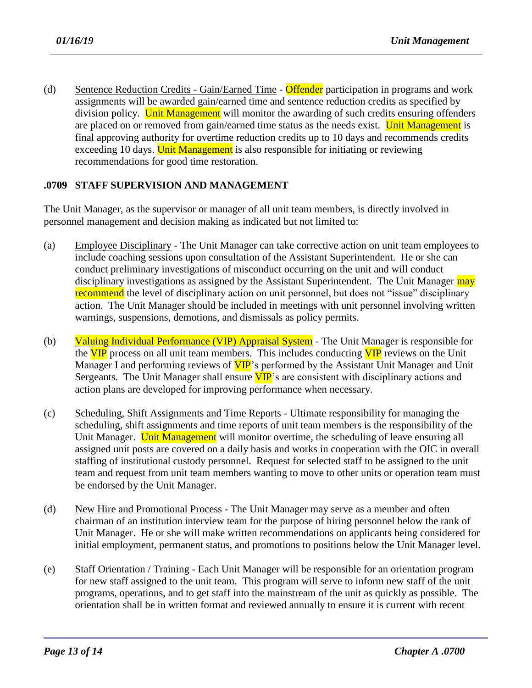(d) Sentence Reduction Credits - Gain/Earned Time - Offender participation in programs and work assignments will be awarded gain/earned time and sentence reduction credits as specified by division policy. Unit Management will monitor the awarding of such credits ensuring offenders are placed on or removed from gain/earned time status as the needs exist. Unit Management is final approving authority for overtime reduction credits up to 10 days and recommends credits exceeding 10 days. Unit Management is also responsible for initiating or reviewing recommendations for good time restoration.

## **.0709 STAFF SUPERVISION AND MANAGEMENT**

The Unit Manager, as the supervisor or manager of all unit team members, is directly involved in personnel management and decision making as indicated but not limited to:

- (a) Employee Disciplinary The Unit Manager can take corrective action on unit team employees to include coaching sessions upon consultation of the Assistant Superintendent. He or she can conduct preliminary investigations of misconduct occurring on the unit and will conduct disciplinary investigations as assigned by the Assistant Superintendent. The Unit Manager may recommend the level of disciplinary action on unit personnel, but does not "issue" disciplinary action. The Unit Manager should be included in meetings with unit personnel involving written warnings, suspensions, demotions, and dismissals as policy permits.
- (b) Valuing Individual Performance (VIP) Appraisal System The Unit Manager is responsible for the VIP process on all unit team members. This includes conducting VIP reviews on the Unit Manager I and performing reviews of  $VIP$ 's performed by the Assistant Unit Manager and Unit Sergeants. The Unit Manager shall ensure  $VIP$ 's are consistent with disciplinary actions and action plans are developed for improving performance when necessary.
- (c) Scheduling, Shift Assignments and Time Reports Ultimate responsibility for managing the scheduling, shift assignments and time reports of unit team members is the responsibility of the Unit Manager. Unit Management will monitor overtime, the scheduling of leave ensuring all assigned unit posts are covered on a daily basis and works in cooperation with the OIC in overall staffing of institutional custody personnel. Request for selected staff to be assigned to the unit team and request from unit team members wanting to move to other units or operation team must be endorsed by the Unit Manager.
- (d) New Hire and Promotional Process The Unit Manager may serve as a member and often chairman of an institution interview team for the purpose of hiring personnel below the rank of Unit Manager. He or she will make written recommendations on applicants being considered for initial employment, permanent status, and promotions to positions below the Unit Manager level.
- (e) Staff Orientation / Training Each Unit Manager will be responsible for an orientation program for new staff assigned to the unit team. This program will serve to inform new staff of the unit programs, operations, and to get staff into the mainstream of the unit as quickly as possible. The orientation shall be in written format and reviewed annually to ensure it is current with recent